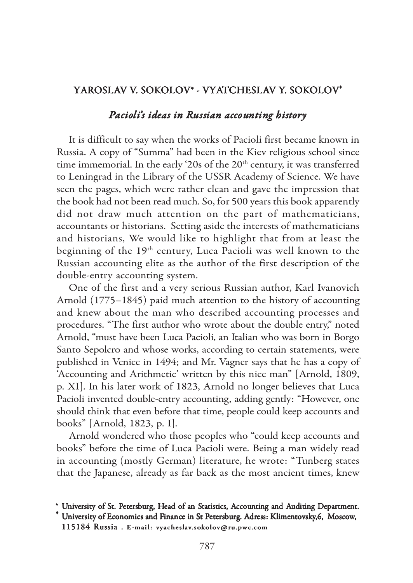## YAROSLAV V. SOKOLOV\* - VYATCHESLAV Y. SOKOLOV-

## *Pacioli's ideas in Russian accounting history*

It is difficult to say when the works of Pacioli first became known in Russia. A copy of "Summa" had been in the Kiev religious school since time immemorial. In the early '20s of the 20<sup>th</sup> century, it was transferred to Leningrad in the Library of the USSR Academy of Science. We have seen the pages, which were rather clean and gave the impression that the book had not been read much. So, for 500 years this book apparently did not draw much attention on the part of mathematicians, accountants or historians. Setting aside the interests of mathematicians and historians, We would like to highlight that from at least the beginning of the 19<sup>th</sup> century, Luca Pacioli was well known to the Russian accounting elite as the author of the first description of the double-entry accounting system.

One of the first and a very serious Russian author, Karl Ivanovich Arnold (1775–1845) paid much attention to the history of accounting and knew about the man who described accounting processes and procedures. "The first author who wrote about the double entry," noted Arnold, "must have been Luca Pacioli, an Italian who was born in Borgo Santo Sepolcro and whose works, according to certain statements, were published in Venice in 1494; and Mr. Vagner says that he has a copy of 'Accounting and Arithmetic' written by this nice man" [Arnold, 1809, p. XI]. In his later work of 1823, Arnold no longer believes that Luca Pacioli invented double-entry accounting, adding gently: "However, one should think that even before that time, people could keep accounts and books" [Arnold, 1823, p. I].

Arnold wondered who those peoples who "could keep accounts and books" before the time of Luca Pacioli were. Being a man widely read in accounting (mostly German) literature, he wrote: "Tunberg states that the Japanese, already as far back as the most ancient times, knew

<sup>\*</sup> University of St. Petersburg, Head of an Statistics, Accounting and Auditing Department. -

University of Economics and Finance in St Petersburg. Adress: Klimentovsky,6, Moscow, 115184 Russia. E-mail: vyacheslav.sokolov@ru.pwc.com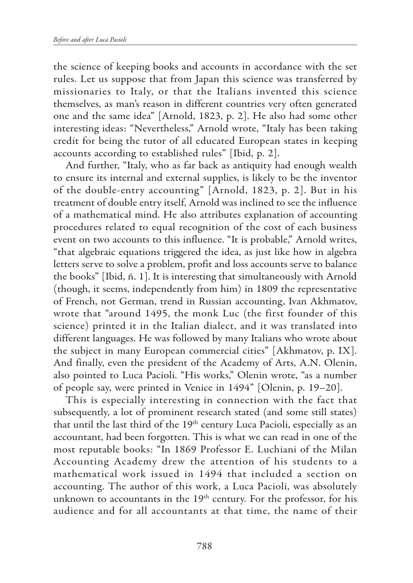the science of keeping books and accounts in accordance with the set rules. Let us suppose that from Japan this science was transferred by missionaries to Italy, or that the Italians invented this science themselves, as man's reason in different countries very often generated one and the same idea" [Arnold, 1823, p. 2]. He also had some other interesting ideas: "Nevertheless," Arnold wrote, "Italy has been taking credit for being the tutor of all educated European states in keeping accounts according to established rules" [Ibid, p. 2].

And further, "Italy, who as far back as antiquity had enough wealth to ensure its internal and external supplies, is likely to be the inventor of the double-entry accounting" [Arnold, 1823, p. 2]. But in his treatment of double entry itself, Arnold was inclined to see the influence of a mathematical mind. He also attributes explanation of accounting procedures related to equal recognition of the cost of each business event on two accounts to this influence. "It is probable," Arnold writes, "that algebraic equations triggered the idea, as just like how in algebra letters serve to solve a problem, profit and loss accounts serve to balance the books" [Ibid, ñ. 1]. It is interesting that simultaneously with Arnold (though, it seems, independently from him) in 1809 the representative of French, not German, trend in Russian accounting, Ivan Akhmatov, wrote that "around 1495, the monk Luc (the first founder of this science) printed it in the Italian dialect, and it was translated into different languages. He was followed by many Italians who wrote about the subject in many European commercial cities" [Akhmatov, p. IX]. And finally, even the president of the Academy of Arts, A.N. Olenin, also pointed to Luca Pacioli. "His works," Olenin wrote, "as a number of people say, were printed in Venice in 1494" [Olenin, p. 19–20].

This is especially interesting in connection with the fact that subsequently, a lot of prominent research stated (and some still states) that until the last third of the  $19<sup>th</sup>$  century Luca Pacioli, especially as an accountant, had been forgotten. This is what we can read in one of the most reputable books: "In 1869 Professor E. Luchiani of the Milan Accounting Academy drew the attention of his students to a mathematical work issued in 1494 that included a section on accounting. The author of this work, a Luca Pacioli, was absolutely unknown to accountants in the 19<sup>th</sup> century. For the professor, for his audience and for all accountants at that time, the name of their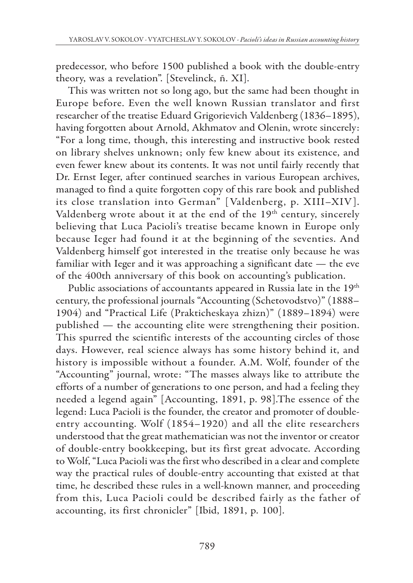predecessor, who before 1500 published a book with the double-entry theory, was a revelation". [Stevelinck, ñ. XI].

This was written not so long ago, but the same had been thought in Europe before. Even the well known Russian translator and first researcher of the treatise Eduard Grigorievich Valdenberg (1836–1895), having forgotten about Arnold, Akhmatov and Olenin, wrote sincerely: "For a long time, though, this interesting and instructive book rested on library shelves unknown; only few knew about its existence, and even fewer knew about its contents. It was not until fairly recently that Dr. Ernst Ieger, after continued searches in various European archives, managed to find a quite forgotten copy of this rare book and published its close translation into German" [Valdenberg, p. XIII-XIV]. Valdenberg wrote about it at the end of the 19<sup>th</sup> century, sincerely believing that Luca Pacioli's treatise became known in Europe only because Ieger had found it at the beginning of the seventies. And Valdenberg himself got interested in the treatise only because he was familiar with Ieger and it was approaching a significant date — the eve of the 400th anniversary of this book on accounting's publication.

Public associations of accountants appeared in Russia late in the 19<sup>th</sup> century, the professional journals "Accounting (Schetovodstvo)" (1888– 1904) and "Practical Life (Prakticheskaya zhizn)" (1889–1894) were published — the accounting elite were strengthening their position. This spurred the scientific interests of the accounting circles of those days. However, real science always has some history behind it, and history is impossible without a founder. A.M. Wolf, founder of the "Accounting" journal, wrote: "The masses always like to attribute the efforts of a number of generations to one person, and had a feeling they needed a legend again" [Accounting, 1891, p. 98].The essence of the legend: Luca Pacioli is the founder, the creator and promoter of doubleentry accounting. Wolf (1854–1920) and all the elite researchers understood that the great mathematician was not the inventor or creator of double-entry bookkeeping, but its first great advocate. According to Wolf, "Luca Pacioli was the first who described in a clear and complete way the practical rules of double-entry accounting that existed at that time, he described these rules in a well-known manner, and proceeding from this, Luca Pacioli could be described fairly as the father of accounting, its first chronicler" [Ibid, 1891, p. 100].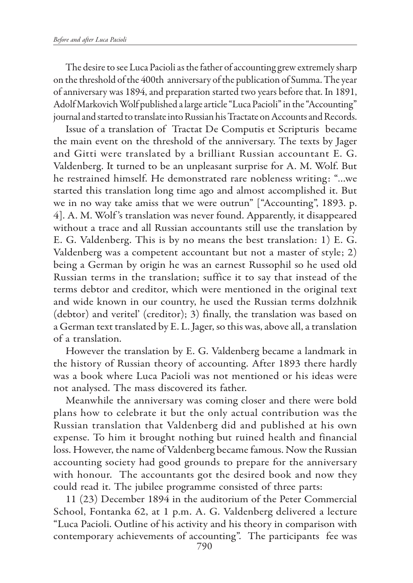The desire to see Luca Pacioli as the father of accounting grew extremely sharp on the threshold of the 400th anniversary of the publication of Summa. The year of anniversary was 1894, and preparation started two years before that. In 1891, Adolf Markovich Wolf published a large article "Luca Pacioli" in the "Accounting" journal and started to translate into Russian his Tractate on Accounts and Records.

Issue of a translation of Tractat De Computis et Scripturis became the main event on the threshold of the anniversary. The texts by Jager and Gitti were translated by a brilliant Russian accountant E. G. Valdenberg. It turned to be an unpleasant surprise for A. M. Wolf. But he restrained himself. He demonstrated rare nobleness writing: "…we started this translation long time ago and almost accomplished it. But we in no way take amiss that we were outrun" ["Accounting", 1893. p. 4]. A. M. Wolf 's translation was never found. Apparently, it disappeared without a trace and all Russian accountants still use the translation by E. G. Valdenberg. This is by no means the best translation: 1) E. G. Valdenberg was a competent accountant but not a master of style; 2) being a German by origin he was an earnest Russophil so he used old Russian terms in the translation; suffice it to say that instead of the terms debtor and creditor, which were mentioned in the original text and wide known in our country, he used the Russian terms dolzhnik (debtor) and veritel' (creditor); 3) finally, the translation was based on a German text translated by E. L. Jager, so this was, above all, a translation of a translation.

However the translation by E. G. Valdenberg became a landmark in the history of Russian theory of accounting. After 1893 there hardly was a book where Luca Pacioli was not mentioned or his ideas were not analysed. The mass discovered its father.

Meanwhile the anniversary was coming closer and there were bold plans how to celebrate it but the only actual contribution was the Russian translation that Valdenberg did and published at his own expense. To him it brought nothing but ruined health and financial loss. However, the name of Valdenberg became famous. Now the Russian accounting society had good grounds to prepare for the anniversary with honour. The accountants got the desired book and now they could read it. The jubilee programme consisted of three parts:

11 (23) December 1894 in the auditorium of the Peter Commercial School, Fontanka 62, at 1 p.m. A. G. Valdenberg delivered a lecture "Luca Pacioli. Outline of his activity and his theory in comparison with contemporary achievements of accounting". The participants fee was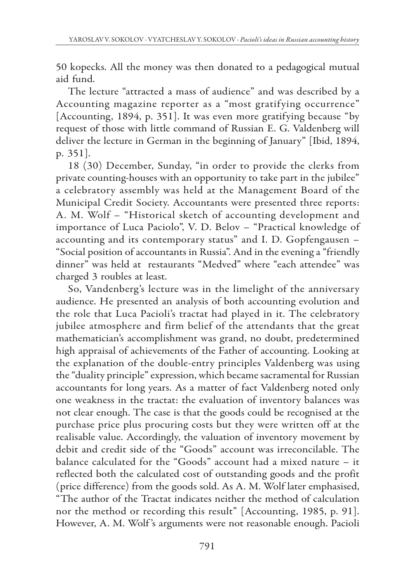50 kopecks. All the money was then donated to a pedagogical mutual aid fund.

The lecture "attracted a mass of audience" and was described by a Accounting magazine reporter as a "most gratifying occurrence" [Accounting, 1894, p. 351]. It was even more gratifying because "by request of those with little command of Russian E. G. Valdenberg will deliver the lecture in German in the beginning of January" [Ibid, 1894, p. 351].

18 (30) December, Sunday, "in order to provide the clerks from private counting-houses with an opportunity to take part in the jubilee" a celebratory assembly was held at the Management Board of the Municipal Credit Society. Accountants were presented three reports: A. M. Wolf – "Historical sketch of accounting development and importance of Luca Paciolo", V. D. Belov – "Practical knowledge of accounting and its contemporary status" and I. D. Gopfengausen – "Social position of accountants in Russia". And in the evening a "friendly dinner" was held at restaurants "Medved" where "each attendee" was charged 3 roubles at least.

So, Vandenberg's lecture was in the limelight of the anniversary audience. He presented an analysis of both accounting evolution and the role that Luca Pacioli's tractat had played in it. The celebratory jubilee atmosphere and firm belief of the attendants that the great mathematician's accomplishment was grand, no doubt, predetermined high appraisal of achievements of the Father of accounting. Looking at the explanation of the double-entry principles Valdenberg was using the "duality principle" expression, which became sacramental for Russian accountants for long years. As a matter of fact Valdenberg noted only one weakness in the tractat: the evaluation of inventory balances was not clear enough. The case is that the goods could be recognised at the purchase price plus procuring costs but they were written off at the realisable value. Accordingly, the valuation of inventory movement by debit and credit side of the "Goods" account was irreconcilable. The balance calculated for the "Goods" account had a mixed nature – it reflected both the calculated cost of outstanding goods and the profit (price difference) from the goods sold. As A. M. Wolf later emphasised, "The author of the Tractat indicates neither the method of calculation nor the method or recording this result" [Accounting, 1985, p. 91]. However, A. M. Wolf 's arguments were not reasonable enough. Pacioli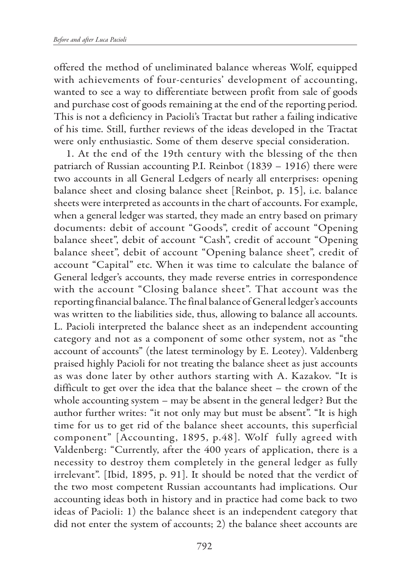offered the method of uneliminated balance whereas Wolf, equipped with achievements of four-centuries' development of accounting, wanted to see a way to differentiate between profit from sale of goods and purchase cost of goods remaining at the end of the reporting period. This is not a deficiency in Pacioli's Tractat but rather a failing indicative of his time. Still, further reviews of the ideas developed in the Tractat were only enthusiastic. Some of them deserve special consideration.

1. At the end of the 19th century with the blessing of the then patriarch of Russian accounting P.I. Reinbot (1839 – 1916) there were two accounts in all General Ledgers of nearly all enterprises: opening balance sheet and closing balance sheet [Reinbot, p. 15], i.e. balance sheets were interpreted as accounts in the chart of accounts. For example, when a general ledger was started, they made an entry based on primary documents: debit of account "Goods", credit of account "Opening balance sheet", debit of account "Cash", credit of account "Opening balance sheet", debit of account "Opening balance sheet", credit of account "Capital" etc. When it was time to calculate the balance of General ledger's accounts, they made reverse entries in correspondence with the account "Closing balance sheet". That account was the reporting financial balance. The final balance of General ledger's accounts was written to the liabilities side, thus, allowing to balance all accounts. L. Pacioli interpreted the balance sheet as an independent accounting category and not as a component of some other system, not as "the account of accounts" (the latest terminology by E. Leotey). Valdenberg praised highly Pacioli for not treating the balance sheet as just accounts as was done later by other authors starting with A. Kazakov. "It is difficult to get over the idea that the balance sheet – the crown of the whole accounting system – may be absent in the general ledger? But the author further writes: "it not only may but must be absent". "It is high time for us to get rid of the balance sheet accounts, this superficial component" [Accounting, 1895, p.48]. Wolf fully agreed with Valdenberg: "Currently, after the 400 years of application, there is a necessity to destroy them completely in the general ledger as fully irrelevant". [Ibid, 1895, p. 91]. It should be noted that the verdict of the two most competent Russian accountants had implications. Our accounting ideas both in history and in practice had come back to two ideas of Pacioli: 1) the balance sheet is an independent category that did not enter the system of accounts; 2) the balance sheet accounts are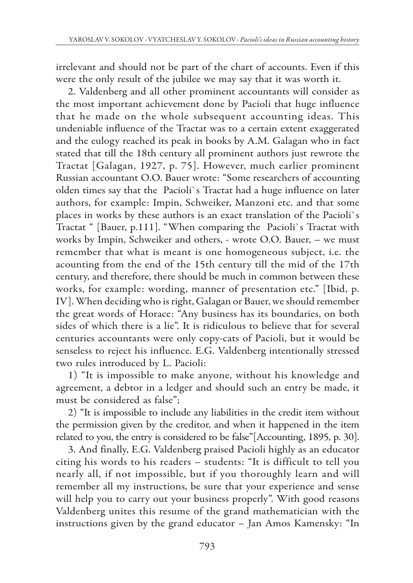irrelevant and should not be part of the chart of accounts. Even if this were the only result of the jubilee we may say that it was worth it.

2. Valdenberg and all other prominent accountants will consider as the most important achievement done by Pacioli that huge influence that he made on the whole subsequent accounting ideas. This undeniable influence of the Tractat was to a certain extent exaggerated and the eulogy reached its peak in books by A.M. Galagan who in fact stated that till the 18th century all prominent authors just rewrote the Tractat [Galagan, 1927, p. 75]. However, much earlier prominent Russian accountant O.O. Bauer wrote: "Some researchers of accounting olden times say that the Pacioli`s Tractat had a huge influence on later authors, for example: Impin, Schweiker, Manzoni etc. and that some places in works by these authors is an exact translation of the Pacioli`s Tractat " [Bauer, p.111]. "When comparing the Pacioli`s Tractat with works by Impin, Schweiker and others, - wrote O.O. Bauer, – we must remember that what is meant is one homogeneous subject, i.e. the acounting from the end of the 15th century till the mid of the 17th century, and therefore, there should be much in common between these works, for example: wording, manner of presentation etc." [Ibid, p. IV]. When deciding who is right, Galagan or Bauer, we should remember the great words of Horace: "Any business has its boundaries, on both sides of which there is a lie". It is ridiculous to believe that for several centuries accountants were only copy-cats of Pacioli, but it would be senseless to reject his influence. E.G. Valdenberg intentionally stressed two rules introduced by L. Pacioli:

1) "It is impossible to make anyone, without his knowledge and agreement, a debtor in a ledger and should such an entry be made, it must be considered as false";

2) "It is impossible to include any liabilities in the credit item without the permission given by the creditor, and when it happened in the item related to you, the entry is considered to be false"[Accounting, 1895, p. 30].

3. And finally, E.G. Valdenberg praised Pacioli highly as an educator citing his words to his readers – students: "It is difficult to tell you nearly all, if not impossible, but if you thoroughly learn and will remember all my instructions, be sure that your experience and sense will help you to carry out your business properly". With good reasons Valdenberg unites this resume of the grand mathematician with the instructions given by the grand educator – Jan Amos Kamensky: "In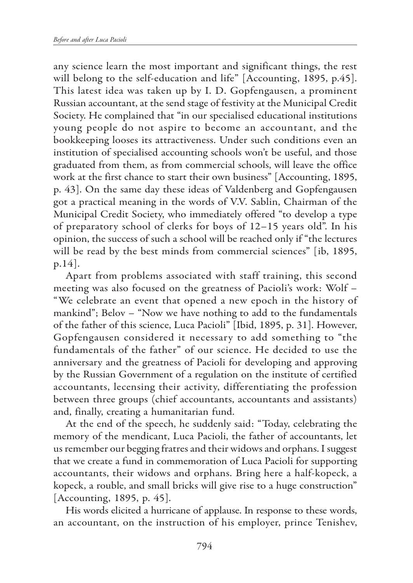any science learn the most important and significant things, the rest will belong to the self-education and life" [Accounting, 1895, p.45]. This latest idea was taken up by I. D. Gopfengausen, a prominent Russian accountant, at the send stage of festivity at the Municipal Credit Society. He complained that "in our specialised educational institutions young people do not aspire to become an accountant, and the bookkeeping looses its attractiveness. Under such conditions even an institution of specialised accounting schools won't be useful, and those graduated from them, as from commercial schools, will leave the office work at the first chance to start their own business" [Accounting, 1895, p. 43]. On the same day these ideas of Valdenberg and Gopfengausen got a practical meaning in the words of V.V. Sablin, Chairman of the Municipal Credit Society, who immediately offered "to develop a type of preparatory school of clerks for boys of 12–15 years old". In his opinion, the success of such a school will be reached only if "the lectures will be read by the best minds from commercial sciences" [ib, 1895, p.14].

Apart from problems associated with staff training, this second meeting was also focused on the greatness of Pacioli's work: Wolf – "We celebrate an event that opened a new epoch in the history of mankind"; Belov – "Now we have nothing to add to the fundamentals of the father of this science, Luca Pacioli" [Ibid, 1895, p. 31]. However, Gopfengausen considered it necessary to add something to "the fundamentals of the father" of our science. He decided to use the anniversary and the greatness of Pacioli for developing and approving by the Russian Government of a regulation on the institute of certified accountants, lecensing their activity, differentiating the profession between three groups (chief accountants, accountants and assistants) and, finally, creating a humanitarian fund.

At the end of the speech, he suddenly said: "Today, celebrating the memory of the mendicant, Luca Pacioli, the father of accountants, let us remember our begging fratres and their widows and orphans. I suggest that we create a fund in commemoration of Luca Pacioli for supporting accountants, their widows and orphans. Bring here a half-kopeck, a kopeck, a rouble, and small bricks will give rise to a huge construction" [Accounting, 1895, p. 45].

His words elicited a hurricane of applause. In response to these words, an accountant, on the instruction of his employer, prince Tenishev,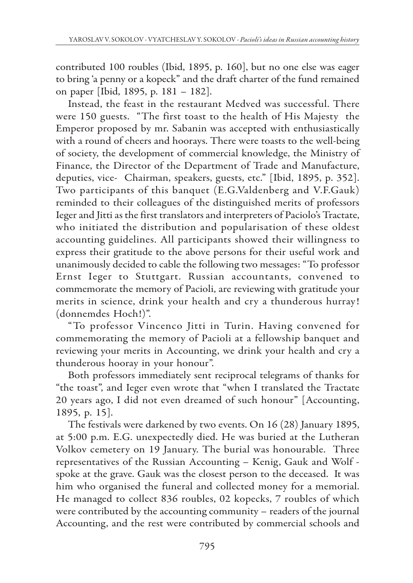contributed 100 roubles (Ibid, 1895, p. 160], but no one else was eager to bring 'a penny or a kopeck" and the draft charter of the fund remained on paper [Ibid, 1895, p. 181 – 182].

Instead, the feast in the restaurant Medved was successful. There were 150 guests. "The first toast to the health of His Majesty the Emperor proposed by mr. Sabanin was accepted with enthusiastically with a round of cheers and hoorays. There were toasts to the well-being of society, the development of commercial knowledge, the Ministry of Finance, the Director of the Department of Trade and Manufacture, deputies, vice- Chairman, speakers, guests, etc." [Ibid, 1895, p. 352]. Two participants of this banquet (E.G.Valdenberg and V.F.Gauk) reminded to their colleagues of the distinguished merits of professors Ieger and Jitti as the first translators and interpreters of Paciolo's Tractate, who initiated the distribution and popularisation of these oldest accounting guidelines. All participants showed their willingness to express their gratitude to the above persons for their useful work and unanimously decided to cable the following two messages: "To professor Ernst Ieger to Stuttgart. Russian accountants, convened to commemorate the memory of Pacioli, are reviewing with gratitude your merits in science, drink your health and cry a thunderous hurray! (donnemdes Hoch!)".

"To professor Vincenco Jitti in Turin. Having convened for commemorating the memory of Pacioli at a fellowship banquet and reviewing your merits in Accounting, we drink your health and cry a thunderous hooray in your honour".

Both professors immediately sent reciprocal telegrams of thanks for "the toast", and Ieger even wrote that "when I translated the Tractate 20 years ago, I did not even dreamed of such honour" [Accounting, 1895, p. 15].

The festivals were darkened by two events. On 16 (28) January 1895, at 5:00 p.m. E.G. unexpectedly died. He was buried at the Lutheran Volkov cemetery on 19 January. The burial was honourable. Three representatives of the Russian Accounting – Kenig, Gauk and Wolf spoke at the grave. Gauk was the closest person to the deceased. It was him who organised the funeral and collected money for a memorial. He managed to collect 836 roubles, 02 kopecks, 7 roubles of which were contributed by the accounting community – readers of the journal Accounting, and the rest were contributed by commercial schools and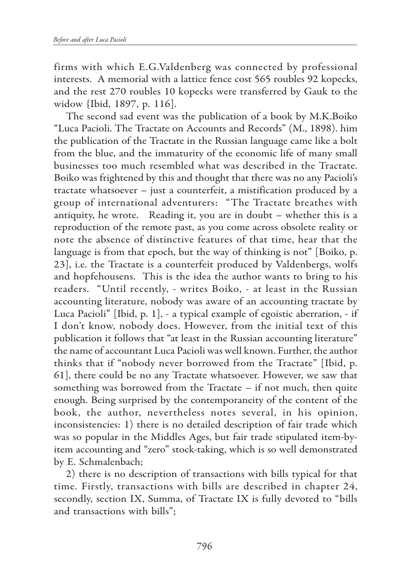firms with which E.G.Valdenberg was connected by professional interests. A memorial with a lattice fence cost 565 roubles 92 kopecks, and the rest 270 roubles 10 kopecks were transferred by Gauk to the widow {Ibid, 1897, p. 116].

The second sad event was the publication of a book by M.K.Boiko "Luca Pacioli. The Tractate on Accounts and Records" (M., 1898). him the publication of the Tractate in the Russian language came like a bolt from the blue, and the immaturity of the economic life of many small businesses too much resembled what was described in the Tractate. Boiko was frightened by this and thought that there was no any Pacioli's tractate whatsoever – just a counterfeit, a mistification produced by a group of international adventurers: "The Tractate breathes with antiquity, he wrote. Reading it, you are in doubt – whether this is a reproduction of the remote past, as you come across obsolete reality or note the absence of distinctive features of that time, hear that the language is from that epoch, but the way of thinking is not" [Boiko, p. 23], i.e. the Tractate is a counterfeit produced by Valdenbergs, wolfs and hopfehousens. This is the idea the author wants to bring to his readers. "Until recently, - writes Boiko, - at least in the Russian accounting literature, nobody was aware of an accounting tractate by Luca Pacioli" [Ibid, p. 1], - a typical example of egoistic aberration, - if I don't know, nobody does. However, from the initial text of this publication it follows that "at least in the Russian accounting literature" the name of accountant Luca Pacioli was well known. Further, the author thinks that if "nobody never borrowed from the Tractate" [Ibid, p. 61], there could be no any Tractate whatsoever. However, we saw that something was borrowed from the Tractate – if not much, then quite enough. Being surprised by the contemporaneity of the content of the book, the author, nevertheless notes several, in his opinion, inconsistencies: 1) there is no detailed description of fair trade which was so popular in the Middles Ages, but fair trade stipulated item-byitem accounting and "zero" stock-taking, which is so well demonstrated by E. Schmalenbach;

2) there is no description of transactions with bills typical for that time. Firstly, transactions with bills are described in chapter 24, secondly, section IX, Summa, of Tractate IX is fully devoted to "bills and transactions with bills";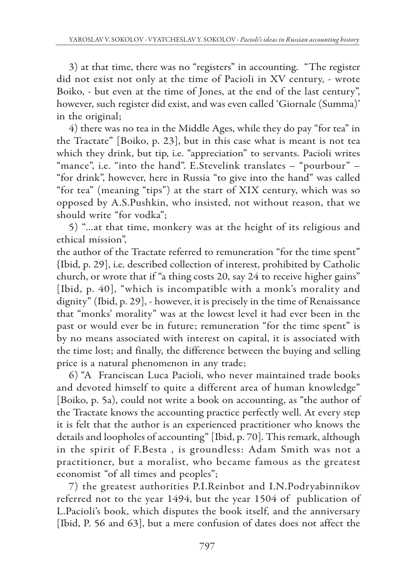3) at that time, there was no "registers" in accounting. "The register did not exist not only at the time of Pacioli in XV century, - wrote Boiko, - but even at the time of Jones, at the end of the last century", however, such register did exist, and was even called 'Giornale (Summa)' in the original;

4) there was no tea in the Middle Ages, while they do pay "for tea" in the Tractate" [Boiko, p. 23], but in this case what is meant is not tea which they drink, but tip, i.e. "appreciation" to servants. Pacioli writes "mance", i.e. "into the hand". E.Stevelink translates – "pourbour" – "for drink", however, here in Russia "to give into the hand" was called "for tea" (meaning "tips") at the start of XIX century, which was so opposed by A.S.Pushkin, who insisted, not without reason, that we should write "for vodka";

5) "…at that time, monkery was at the height of its religious and ethical mission",

the author of the Tractate referred to remuneration "for the time spent" {Ibid, p. 29], i.e. described collection of interest, prohibited by Catholic church, or wrote that if "a thing costs 20, say 24 to receive higher gains" [Ibid, p. 40], "which is incompatible with a monk's morality and dignity" (Ibid, p. 29], - however, it is precisely in the time of Renaissance that "monks' morality" was at the lowest level it had ever been in the past or would ever be in future; remuneration "for the time spent" is by no means associated with interest on capital, it is associated with the time lost; and finally, the difference between the buying and selling price is a natural phenomenon in any trade;

6) "A Franciscan Luca Pacioli, who never maintained trade books and devoted himself to quite a different area of human knowledge" [Boiko, p. 5a), could not write a book on accounting, as "the author of the Tractate knows the accounting practice perfectly well. At every step it is felt that the author is an experienced practitioner who knows the details and loopholes of accounting" [Ibid, p. 70]. This remark, although in the spirit of F.Besta , is groundless: Adam Smith was not a practitioner, but a moralist, who became famous as the greatest economist "of all times and peoples";

7) the greatest authorities P.I.Reinbot and I.N.Podryabinnikov referred not to the year 1494, but the year 1504 of publication of L.Pacioli's book, which disputes the book itself, and the anniversary [Ibid, P. 56 and 63], but a mere confusion of dates does not affect the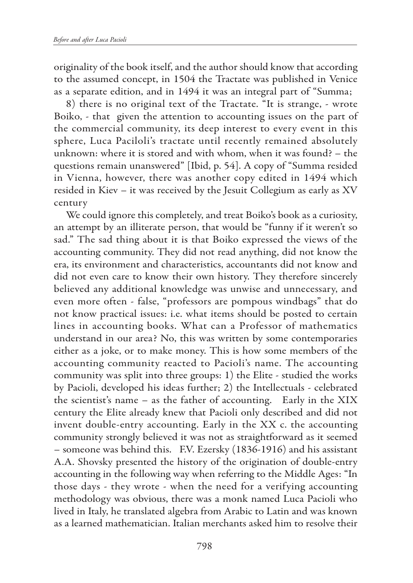originality of the book itself, and the author should know that according to the assumed concept, in 1504 the Tractate was published in Venice as a separate edition, and in 1494 it was an integral part of "Summa;

8) there is no original text of the Tractate. "It is strange, - wrote Boiko, - that given the attention to accounting issues on the part of the commercial community, its deep interest to every event in this sphere, Luca Paciloli's tractate until recently remained absolutely unknown: where it is stored and with whom, when it was found? – the questions remain unanswered" [Ibid, p. 54]. A copy of "Summa resided in Vienna, however, there was another copy edited in 1494 which resided in Kiev – it was received by the Jesuit Collegium as early as XV century

We could ignore this completely, and treat Boiko's book as a curiosity, an attempt by an illiterate person, that would be "funny if it weren't so sad." The sad thing about it is that Boiko expressed the views of the accounting community. They did not read anything, did not know the era, its environment and characteristics, accountants did not know and did not even care to know their own history. They therefore sincerely believed any additional knowledge was unwise and unnecessary, and even more often - false, "professors are pompous windbags" that do not know practical issues: i.e. what items should be posted to certain lines in accounting books. What can a Professor of mathematics understand in our area? No, this was written by some contemporaries either as a joke, or to make money. This is how some members of the accounting community reacted to Pacioli's name. The accounting community was split into three groups: 1) the Elite - studied the works by Pacioli, developed his ideas further; 2) the Intellectuals - celebrated the scientist's name – as the father of accounting. Early in the XIX century the Elite already knew that Pacioli only described and did not invent double-entry accounting. Early in the XX c. the accounting community strongly believed it was not as straightforward as it seemed – someone was behind this. F.V. Ezersky (1836-1916) and his assistant A.A. Shovsky presented the history of the origination of double-entry accounting in the following way when referring to the Middle Ages: "In those days - they wrote - when the need for a verifying accounting methodology was obvious, there was a monk named Luca Pacioli who lived in Italy, he translated algebra from Arabic to Latin and was known as a learned mathematician. Italian merchants asked him to resolve their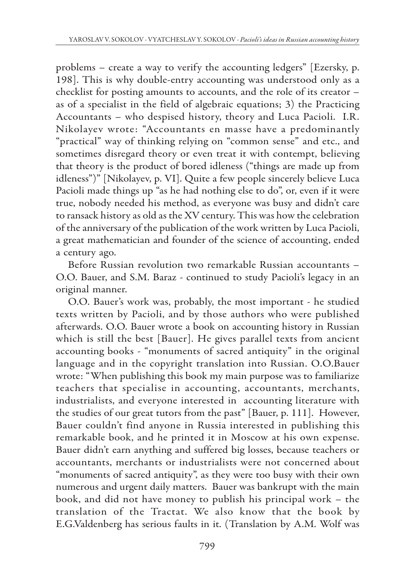problems – create a way to verify the accounting ledgers" [Ezersky, p. 198]. This is why double-entry accounting was understood only as a checklist for posting amounts to accounts, and the role of its creator – as of a specialist in the field of algebraic equations; 3) the Practicing Accountants – who despised history, theory and Luca Pacioli. I.R. Nikolayev wrote: "Accountants en masse have a predominantly "practical" way of thinking relying on "common sense" and etc., and sometimes disregard theory or even treat it with contempt, believing that theory is the product of bored idleness ("things are made up from idleness")" [Nikolayev, p. VI]. Quite a few people sincerely believe Luca Pacioli made things up "as he had nothing else to do", or, even if it were true, nobody needed his method, as everyone was busy and didn't care to ransack history as old as the XV century. This was how the celebration of the anniversary of the publication of the work written by Luca Pacioli, a great mathematician and founder of the science of accounting, ended a century ago.

Before Russian revolution two remarkable Russian accountants – O.O. Bauer, and S.M. Baraz - continued to study Pacioli's legacy in an original manner.

O.O. Bauer's work was, probably, the most important - he studied texts written by Pacioli, and by those authors who were published afterwards. O.O. Bauer wrote a book on accounting history in Russian which is still the best [Bauer]. He gives parallel texts from ancient accounting books - "monuments of sacred antiquity" in the original language and in the copyright translation into Russian. O.O.Bauer wrote: "When publishing this book my main purpose was to familiarize teachers that specialise in accounting, accountants, merchants, industrialists, and everyone interested in accounting literature with the studies of our great tutors from the past" [Bauer, p. 111]. However, Bauer couldn't find anyone in Russia interested in publishing this remarkable book, and he printed it in Moscow at his own expense. Bauer didn't earn anything and suffered big losses, because teachers or accountants, merchants or industrialists were not concerned about "monuments of sacred antiquity", as they were too busy with their own numerous and urgent daily matters. Bauer was bankrupt with the main book, and did not have money to publish his principal work – the translation of the Tractat. We also know that the book by E.G.Valdenberg has serious faults in it. (Translation by A.M. Wolf was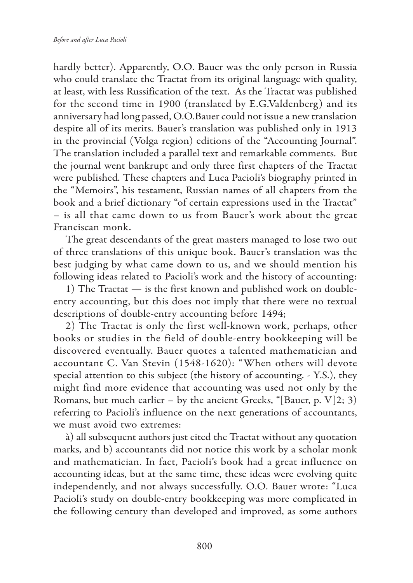hardly better). Apparently, O.O. Bauer was the only person in Russia who could translate the Tractat from its original language with quality, at least, with less Russification of the text. As the Tractat was published for the second time in 1900 (translated by E.G.Valdenberg) and its anniversary had long passed, O.O.Bauer could not issue a new translation despite all of its merits. Bauer's translation was published only in 1913 in the provincial (Volga region) editions of the "Accounting Journal". The translation included a parallel text and remarkable comments. But the journal went bankrupt and only three first chapters of the Tractat were published. These chapters and Luca Pacioli's biography printed in the "Memoirs", his testament, Russian names of all chapters from the book and a brief dictionary "of certain expressions used in the Tractat" – is all that came down to us from Bauer's work about the great Franciscan monk.

The great descendants of the great masters managed to lose two out of three translations of this unique book. Bauer's translation was the best judging by what came down to us, and we should mention his following ideas related to Pacioli's work and the history of accounting:

1) The Tractat — is the first known and published work on doubleentry accounting, but this does not imply that there were no textual descriptions of double-entry accounting before 1494;

2) The Tractat is only the first well-known work, perhaps, other books or studies in the field of double-entry bookkeeping will be discovered eventually. Bauer quotes a talented mathematician and accountant C. Van Stevin (1548-1620): "When others will devote special attention to this subject (the history of accounting. - Y.S.), they might find more evidence that accounting was used not only by the Romans, but much earlier – by the ancient Greeks, "[Bauer, p.  $V$ ]2; 3) referring to Pacioli's influence on the next generations of accountants, we must avoid two extremes:

à) all subsequent authors just cited the Tractat without any quotation marks, and b) accountants did not notice this work by a scholar monk and mathematician. In fact, Pacioli's book had a great influence on accounting ideas, but at the same time, these ideas were evolving quite independently, and not always successfully. O.O. Bauer wrote: "Luca Pacioli's study on double-entry bookkeeping was more complicated in the following century than developed and improved, as some authors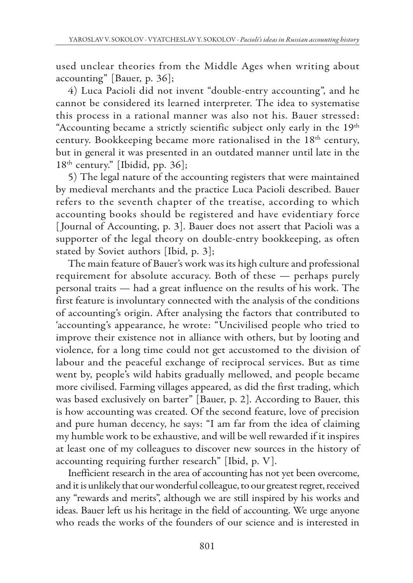used unclear theories from the Middle Ages when writing about accounting" [Bauer, p. 36];

4) Luca Pacioli did not invent "double-entry accounting", and he cannot be considered its learned interpreter. The idea to systematise this process in a rational manner was also not his. Bauer stressed: "Accounting became a strictly scientific subject only early in the 19<sup>th</sup> century. Bookkeeping became more rationalised in the 18<sup>th</sup> century, but in general it was presented in an outdated manner until late in the  $18<sup>th</sup>$  century." [Ibidid, pp. 36];

5) The legal nature of the accounting registers that were maintained by medieval merchants and the practice Luca Pacioli described. Bauer refers to the seventh chapter of the treatise, according to which accounting books should be registered and have evidentiary force [ Journal of Accounting, p. 3]. Bauer does not assert that Pacioli was a supporter of the legal theory on double-entry bookkeeping, as often stated by Soviet authors [Ibid, p. 3];

The main feature of Bauer's work was its high culture and professional requirement for absolute accuracy. Both of these — perhaps purely personal traits — had a great influence on the results of his work. The first feature is involuntary connected with the analysis of the conditions of accounting's origin. After analysing the factors that contributed to 'accounting's appearance, he wrote: "Uncivilised people who tried to improve their existence not in alliance with others, but by looting and violence, for a long time could not get accustomed to the division of labour and the peaceful exchange of reciprocal services. But as time went by, people's wild habits gradually mellowed, and people became more civilised. Farming villages appeared, as did the first trading, which was based exclusively on barter" [Bauer, p. 2]. According to Bauer, this is how accounting was created. Of the second feature, love of precision and pure human decency, he says: "I am far from the idea of claiming my humble work to be exhaustive, and will be well rewarded if it inspires at least one of my colleagues to discover new sources in the history of accounting requiring further research" [Ibid, p. V].

Inefficient research in the area of accounting has not yet been overcome, and it is unlikely that our wonderful colleague, to our greatest regret, received any "rewards and merits", although we are still inspired by his works and ideas. Bauer left us his heritage in the field of accounting. We urge anyone who reads the works of the founders of our science and is interested in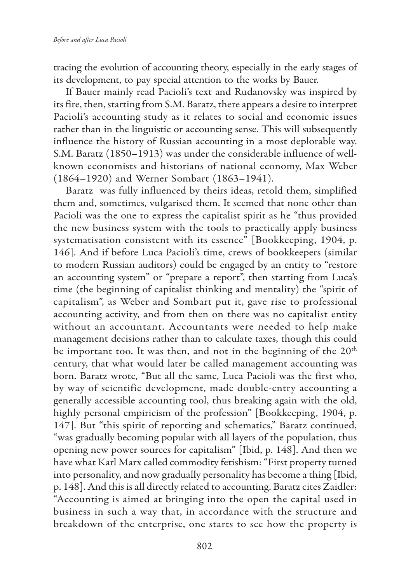tracing the evolution of accounting theory, especially in the early stages of its development, to pay special attention to the works by Bauer.

If Bauer mainly read Pacioli's text and Rudanovsky was inspired by its fire, then, starting from S.M. Baratz, there appears a desire to interpret Pacioli's accounting study as it relates to social and economic issues rather than in the linguistic or accounting sense. This will subsequently influence the history of Russian accounting in a most deplorable way. S.M. Baratz (1850–1913) was under the considerable influence of wellknown economists and historians of national economy, Max Weber (1864–1920) and Werner Sombart (1863–1941).

Baratz was fully influenced by theirs ideas, retold them, simplified them and, sometimes, vulgarised them. It seemed that none other than Pacioli was the one to express the capitalist spirit as he "thus provided the new business system with the tools to practically apply business systematisation consistent with its essence" [Bookkeeping, 1904, p. 146]. And if before Luca Pacioli's time, crews of bookkeepers (similar to modern Russian auditors) could be engaged by an entity to "restore an accounting system" or "prepare a report", then starting from Luca's time (the beginning of capitalist thinking and mentality) the "spirit of capitalism", as Weber and Sombart put it, gave rise to professional accounting activity, and from then on there was no capitalist entity without an accountant. Accountants were needed to help make management decisions rather than to calculate taxes, though this could be important too. It was then, and not in the beginning of the 20<sup>th</sup> century, that what would later be called management accounting was born. Baratz wrote, "But all the same, Luca Pacioli was the first who, by way of scientific development, made double-entry accounting a generally accessible accounting tool, thus breaking again with the old, highly personal empiricism of the profession" [Bookkeeping, 1904, p. 147]. But "this spirit of reporting and schematics," Baratz continued, "was gradually becoming popular with all layers of the population, thus opening new power sources for capitalism" [Ibid, p. 148]. And then we have what Karl Marx called commodity fetishism: "First property turned into personality, and now gradually personality has become a thing [Ibid, p. 148]. And this is all directly related to accounting. Baratz cites Zaidler: "Accounting is aimed at bringing into the open the capital used in business in such a way that, in accordance with the structure and breakdown of the enterprise, one starts to see how the property is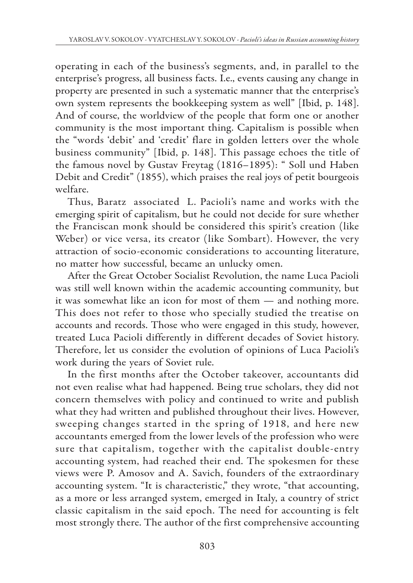operating in each of the business's segments, and, in parallel to the enterprise's progress, all business facts. I.e., events causing any change in property are presented in such a systematic manner that the enterprise's own system represents the bookkeeping system as well" [Ibid, p. 148]. And of course, the worldview of the people that form one or another community is the most important thing. Capitalism is possible when the "words 'debit' and 'credit' flare in golden letters over the whole business community" [Ibid, p. 148]. This passage echoes the title of the famous novel by Gustav Freytag (1816–1895): " Soll und Haben Debit and Credit" (1855), which praises the real joys of petit bourgeois welfare.

Thus, Baratz associated L. Pacioli's name and works with the emerging spirit of capitalism, but he could not decide for sure whether the Franciscan monk should be considered this spirit's creation (like Weber) or vice versa, its creator (like Sombart). However, the very attraction of socio-economic considerations to accounting literature, no matter how successful, became an unlucky omen.

After the Great October Socialist Revolution, the name Luca Pacioli was still well known within the academic accounting community, but it was somewhat like an icon for most of them — and nothing more. This does not refer to those who specially studied the treatise on accounts and records. Those who were engaged in this study, however, treated Luca Pacioli differently in different decades of Soviet history. Therefore, let us consider the evolution of opinions of Luca Pacioli's work during the years of Soviet rule.

In the first months after the October takeover, accountants did not even realise what had happened. Being true scholars, they did not concern themselves with policy and continued to write and publish what they had written and published throughout their lives. However, sweeping changes started in the spring of 1918, and here new accountants emerged from the lower levels of the profession who were sure that capitalism, together with the capitalist double-entry accounting system, had reached their end. The spokesmen for these views were P. Amosov and A. Savich, founders of the extraordinary accounting system. "It is characteristic," they wrote, "that accounting, as a more or less arranged system, emerged in Italy, a country of strict classic capitalism in the said epoch. The need for accounting is felt most strongly there. The author of the first comprehensive accounting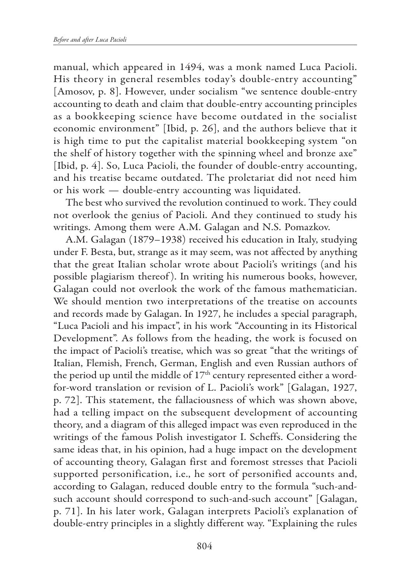manual, which appeared in 1494, was a monk named Luca Pacioli. His theory in general resembles today's double-entry accounting" [Amosov, p. 8]. However, under socialism "we sentence double-entry accounting to death and claim that double-entry accounting principles as a bookkeeping science have become outdated in the socialist economic environment" [Ibid, p. 26], and the authors believe that it is high time to put the capitalist material bookkeeping system "on the shelf of history together with the spinning wheel and bronze axe" [Ibid, p. 4]. So, Luca Pacioli, the founder of double-entry accounting, and his treatise became outdated. The proletariat did not need him or his work — double-entry accounting was liquidated.

The best who survived the revolution continued to work. They could not overlook the genius of Pacioli. And they continued to study his writings. Among them were A.M. Galagan and N.S. Pomazkov.

A.M. Galagan (1879–1938) received his education in Italy, studying under F. Besta, but, strange as it may seem, was not affected by anything that the great Italian scholar wrote about Pacioli's writings (and his possible plagiarism thereof ). In writing his numerous books, however, Galagan could not overlook the work of the famous mathematician. We should mention two interpretations of the treatise on accounts and records made by Galagan. In 1927, he includes a special paragraph, "Luca Pacioli and his impact", in his work "Accounting in its Historical Development". As follows from the heading, the work is focused on the impact of Pacioli's treatise, which was so great "that the writings of Italian, Flemish, French, German, English and even Russian authors of the period up until the middle of 17<sup>th</sup> century represented either a wordfor-word translation or revision of L. Pacioli's work" [Galagan, 1927, p. 72]. This statement, the fallaciousness of which was shown above, had a telling impact on the subsequent development of accounting theory, and a diagram of this alleged impact was even reproduced in the writings of the famous Polish investigator I. Scheffs. Considering the same ideas that, in his opinion, had a huge impact on the development of accounting theory, Galagan first and foremost stresses that Pacioli supported personification, i.e., he sort of personified accounts and, according to Galagan, reduced double entry to the formula "such-andsuch account should correspond to such-and-such account" [Galagan, p. 71]. In his later work, Galagan interprets Pacioli's explanation of double-entry principles in a slightly different way. "Explaining the rules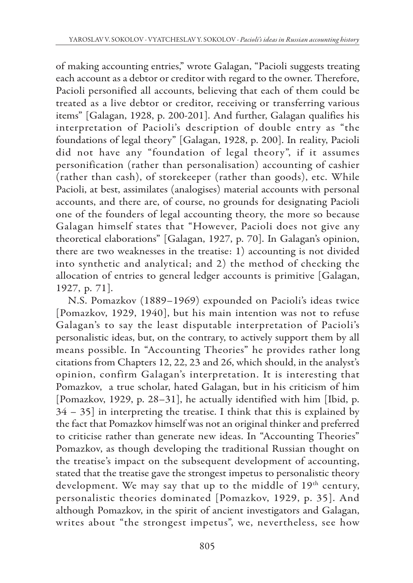of making accounting entries," wrote Galagan, "Pacioli suggests treating each account as a debtor or creditor with regard to the owner. Therefore, Pacioli personified all accounts, believing that each of them could be treated as a live debtor or creditor, receiving or transferring various items" [Galagan, 1928, p. 200-201]. And further, Galagan qualifies his interpretation of Pacioli's description of double entry as "the foundations of legal theory" [Galagan, 1928, p. 200]. In reality, Pacioli did not have any "foundation of legal theory", if it assumes personification (rather than personalisation) accounting of cashier (rather than cash), of storekeeper (rather than goods), etc. While Pacioli, at best, assimilates (analogises) material accounts with personal accounts, and there are, of course, no grounds for designating Pacioli one of the founders of legal accounting theory, the more so because Galagan himself states that "However, Pacioli does not give any theoretical elaborations" [Galagan, 1927, p. 70]. In Galagan's opinion, there are two weaknesses in the treatise: 1) accounting is not divided into synthetic and analytical; and 2) the method of checking the allocation of entries to general ledger accounts is primitive [Galagan, 1927, p. 71].

N.S. Pomazkov (1889–1969) expounded on Pacioli's ideas twice [Pomazkov, 1929, 1940], but his main intention was not to refuse Galagan's to say the least disputable interpretation of Pacioli's personalistic ideas, but, on the contrary, to actively support them by all means possible. In "Accounting Theories" he provides rather long citations from Chapters 12, 22, 23 and 26, which should, in the analyst's opinion, confirm Galagan's interpretation. It is interesting that Pomazkov, a true scholar, hated Galagan, but in his criticism of him [Pomazkov, 1929, p. 28–31], he actually identified with him [Ibid, p. 34 – 35] in interpreting the treatise. I think that this is explained by the fact that Pomazkov himself was not an original thinker and preferred to criticise rather than generate new ideas. In "Accounting Theories" Pomazkov, as though developing the traditional Russian thought on the treatise's impact on the subsequent development of accounting, stated that the treatise gave the strongest impetus to personalistic theory development. We may say that up to the middle of 19<sup>th</sup> century, personalistic theories dominated [Pomazkov, 1929, p. 35]. And although Pomazkov, in the spirit of ancient investigators and Galagan, writes about "the strongest impetus", we, nevertheless, see how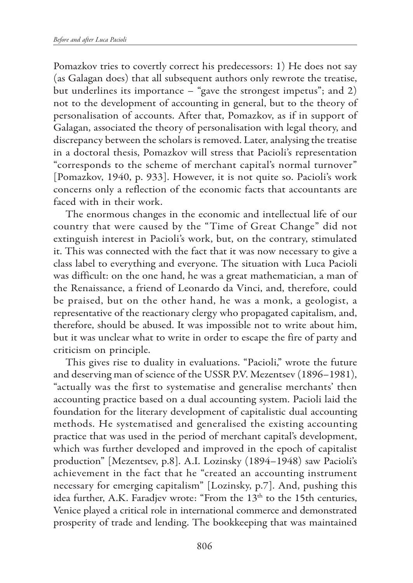Pomazkov tries to covertly correct his predecessors: 1) He does not say (as Galagan does) that all subsequent authors only rewrote the treatise, but underlines its importance – "gave the strongest impetus"; and 2) not to the development of accounting in general, but to the theory of personalisation of accounts. After that, Pomazkov, as if in support of Galagan, associated the theory of personalisation with legal theory, and discrepancy between the scholars is removed. Later, analysing the treatise in a doctoral thesis, Pomazkov will stress that Pacioli's representation "corresponds to the scheme of merchant capital's normal turnover" [Pomazkov, 1940, p. 933]. However, it is not quite so. Pacioli's work concerns only a reflection of the economic facts that accountants are faced with in their work.

The enormous changes in the economic and intellectual life of our country that were caused by the "Time of Great Change" did not extinguish interest in Pacioli's work, but, on the contrary, stimulated it. This was connected with the fact that it was now necessary to give a class label to everything and everyone. The situation with Luca Pacioli was difficult: on the one hand, he was a great mathematician, a man of the Renaissance, a friend of Leonardo da Vinci, and, therefore, could be praised, but on the other hand, he was a monk, a geologist, a representative of the reactionary clergy who propagated capitalism, and, therefore, should be abused. It was impossible not to write about him, but it was unclear what to write in order to escape the fire of party and criticism on principle.

This gives rise to duality in evaluations. "Pacioli," wrote the future and deserving man of science of the USSR P.V. Mezentsev (1896–1981), "actually was the first to systematise and generalise merchants' then accounting practice based on a dual accounting system. Pacioli laid the foundation for the literary development of capitalistic dual accounting methods. He systematised and generalised the existing accounting practice that was used in the period of merchant capital's development, which was further developed and improved in the epoch of capitalist production" [Mezentsev, p.8]. A.I. Lozinsky (1894–1948) saw Pacioli's achievement in the fact that he "created an accounting instrument necessary for emerging capitalism" [Lozinsky, p.7]. And, pushing this idea further, A.K. Faradjev wrote: "From the 13<sup>th</sup> to the 15th centuries, Venice played a critical role in international commerce and demonstrated prosperity of trade and lending. The bookkeeping that was maintained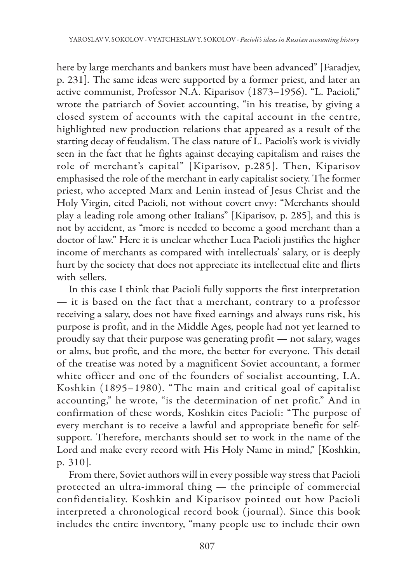here by large merchants and bankers must have been advanced" [Faradjev, p. 231]. The same ideas were supported by a former priest, and later an active communist, Professor N.A. Kiparisov (1873–1956). "L. Pacioli," wrote the patriarch of Soviet accounting, "in his treatise, by giving a closed system of accounts with the capital account in the centre, highlighted new production relations that appeared as a result of the starting decay of feudalism. The class nature of L. Pacioli's work is vividly seen in the fact that he fights against decaying capitalism and raises the role of merchant's capital" [Kiparisov, p.285]. Then, Kiparisov emphasised the role of the merchant in early capitalist society. The former priest, who accepted Marx and Lenin instead of Jesus Christ and the Holy Virgin, cited Pacioli, not without covert envy: "Merchants should play a leading role among other Italians" [Kiparisov, p. 285], and this is not by accident, as "more is needed to become a good merchant than a doctor of law." Here it is unclear whether Luca Pacioli justifies the higher income of merchants as compared with intellectuals' salary, or is deeply hurt by the society that does not appreciate its intellectual elite and flirts with sellers.

In this case I think that Pacioli fully supports the first interpretation — it is based on the fact that a merchant, contrary to a professor receiving a salary, does not have fixed earnings and always runs risk, his purpose is profit, and in the Middle Ages, people had not yet learned to proudly say that their purpose was generating profit — not salary, wages or alms, but profit, and the more, the better for everyone. This detail of the treatise was noted by a magnificent Soviet accountant, a former white officer and one of the founders of socialist accounting, I.A. Koshkin (1895–1980). "The main and critical goal of capitalist accounting," he wrote, "is the determination of net profit." And in confirmation of these words, Koshkin cites Pacioli: "The purpose of every merchant is to receive a lawful and appropriate benefit for selfsupport. Therefore, merchants should set to work in the name of the Lord and make every record with His Holy Name in mind," [Koshkin, p. 310].

From there, Soviet authors will in every possible way stress that Pacioli protected an ultra-immoral thing — the principle of commercial confidentiality. Koshkin and Kiparisov pointed out how Pacioli interpreted a chronological record book (journal). Since this book includes the entire inventory, "many people use to include their own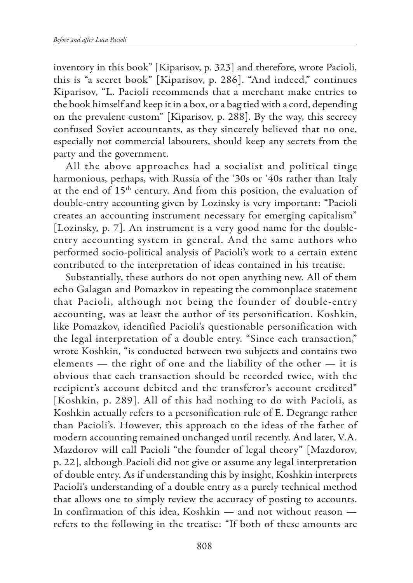inventory in this book" [Kiparisov, p. 323] and therefore, wrote Pacioli, this is "a secret book" [Kiparisov, p. 286]. "And indeed," continues Kiparisov, "L. Pacioli recommends that a merchant make entries to the book himself and keep it in a box, or a bag tied with a cord, depending on the prevalent custom" [Kiparisov, p. 288]. By the way, this secrecy confused Soviet accountants, as they sincerely believed that no one, especially not commercial labourers, should keep any secrets from the party and the government.

All the above approaches had a socialist and political tinge harmonious, perhaps, with Russia of the '30s or '40s rather than Italy at the end of 15<sup>th</sup> century. And from this position, the evaluation of double-entry accounting given by Lozinsky is very important: "Pacioli creates an accounting instrument necessary for emerging capitalism" [Lozinsky, p. 7]. An instrument is a very good name for the doubleentry accounting system in general. And the same authors who performed socio-political analysis of Pacioli's work to a certain extent contributed to the interpretation of ideas contained in his treatise.

Substantially, these authors do not open anything new. All of them echo Galagan and Pomazkov in repeating the commonplace statement that Pacioli, although not being the founder of double-entry accounting, was at least the author of its personification. Koshkin, like Pomazkov, identified Pacioli's questionable personification with the legal interpretation of a double entry. "Since each transaction," wrote Koshkin, "is conducted between two subjects and contains two elements — the right of one and the liability of the other — it is obvious that each transaction should be recorded twice, with the recipient's account debited and the transferor's account credited" [Koshkin, p. 289]. All of this had nothing to do with Pacioli, as Koshkin actually refers to a personification rule of E. Degrange rather than Pacioli's. However, this approach to the ideas of the father of modern accounting remained unchanged until recently. And later, V.A. Mazdorov will call Pacioli "the founder of legal theory" [Mazdorov, p. 22], although Pacioli did not give or assume any legal interpretation of double entry. As if understanding this by insight, Koshkin interprets Pacioli's understanding of a double entry as a purely technical method that allows one to simply review the accuracy of posting to accounts. In confirmation of this idea, Koshkin — and not without reason refers to the following in the treatise: "If both of these amounts are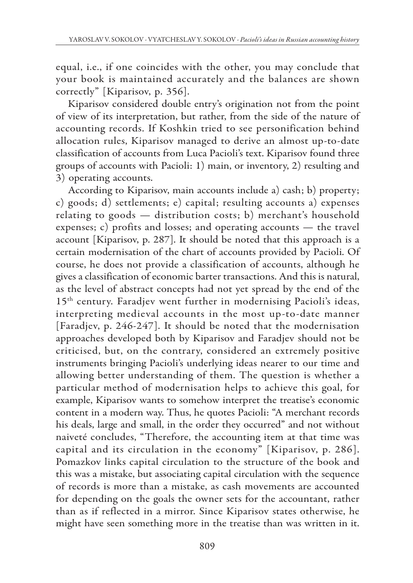equal, i.e., if one coincides with the other, you may conclude that your book is maintained accurately and the balances are shown correctly" [Kiparisov, p. 356].

Kiparisov considered double entry's origination not from the point of view of its interpretation, but rather, from the side of the nature of accounting records. If Koshkin tried to see personification behind allocation rules, Kiparisov managed to derive an almost up-to-date classification of accounts from Luca Pacioli's text. Kiparisov found three groups of accounts with Pacioli: 1) main, or inventory, 2) resulting and 3) operating accounts.

According to Kiparisov, main accounts include a) cash; b) property; c) goods; d) settlements; e) capital; resulting accounts a) expenses relating to goods — distribution costs; b) merchant's household expenses; c) profits and losses; and operating accounts — the travel account [Kiparisov, p. 287]. It should be noted that this approach is a certain modernisation of the chart of accounts provided by Pacioli. Of course, he does not provide a classification of accounts, although he gives a classification of economic barter transactions. And this is natural, as the level of abstract concepts had not yet spread by the end of the 15<sup>th</sup> century. Faradjev went further in modernising Pacioli's ideas, interpreting medieval accounts in the most up-to-date manner [Faradjev, p. 246-247]. It should be noted that the modernisation approaches developed both by Kiparisov and Faradjev should not be criticised, but, on the contrary, considered an extremely positive instruments bringing Pacioli's underlying ideas nearer to our time and allowing better understanding of them. The question is whether a particular method of modernisation helps to achieve this goal, for example, Kiparisov wants to somehow interpret the treatise's economic content in a modern way. Thus, he quotes Pacioli: "A merchant records his deals, large and small, in the order they occurred" and not without naiveté concludes, "Therefore, the accounting item at that time was capital and its circulation in the economy" [Kiparisov, p. 286]. Pomazkov links capital circulation to the structure of the book and this was a mistake, but associating capital circulation with the sequence of records is more than a mistake, as cash movements are accounted for depending on the goals the owner sets for the accountant, rather than as if reflected in a mirror. Since Kiparisov states otherwise, he might have seen something more in the treatise than was written in it.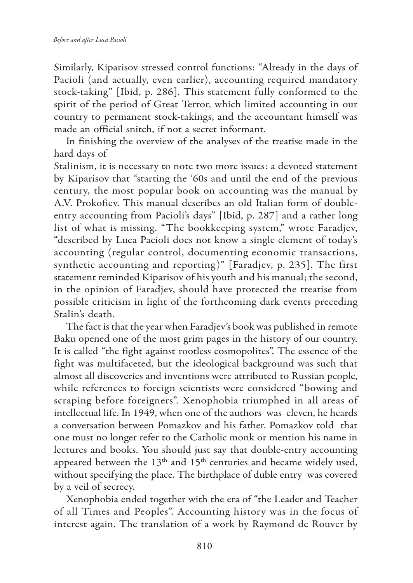Similarly, Kiparisov stressed control functions: "Already in the days of Pacioli (and actually, even earlier), accounting required mandatory stock-taking" [Ibid, p. 286]. This statement fully conformed to the spirit of the period of Great Terror, which limited accounting in our country to permanent stock-takings, and the accountant himself was made an official snitch, if not a secret informant.

In finishing the overview of the analyses of the treatise made in the hard days of

Stalinism, it is necessary to note two more issues: a devoted statement by Kiparisov that "starting the '60s and until the end of the previous century, the most popular book on accounting was the manual by A.V. Prokofiev. This manual describes an old Italian form of doubleentry accounting from Pacioli's days" [Ibid, p. 287] and a rather long list of what is missing. "The bookkeeping system," wrote Faradjev, "described by Luca Pacioli does not know a single element of today's accounting (regular control, documenting economic transactions, synthetic accounting and reporting)" [Faradjev, p. 235]. The first statement reminded Kiparisov of his youth and his manual; the second, in the opinion of Faradjev, should have protected the treatise from possible criticism in light of the forthcoming dark events preceding Stalin's death.

The fact is that the year when Faradjev's book was published in remote Baku opened one of the most grim pages in the history of our country. It is called "the fight against rootless cosmopolites". The essence of the fight was multifaceted, but the ideological background was such that almost all discoveries and inventions were attributed to Russian people, while references to foreign scientists were considered "bowing and scraping before foreigners". Xenophobia triumphed in all areas of intellectual life. In 1949, when one of the authors was eleven, he heards a conversation between Pomazkov and his father. Pomazkov told that one must no longer refer to the Catholic monk or mention his name in lectures and books. You should just say that double-entry accounting appeared between the 13<sup>th</sup> and 15<sup>th</sup> centuries and became widely used, without specifying the place. The birthplace of duble entry was covered by a veil of secrecy.

Xenophobia ended together with the era of "the Leader and Teacher of all Times and Peoples". Accounting history was in the focus of interest again. The translation of a work by Raymond de Rouver by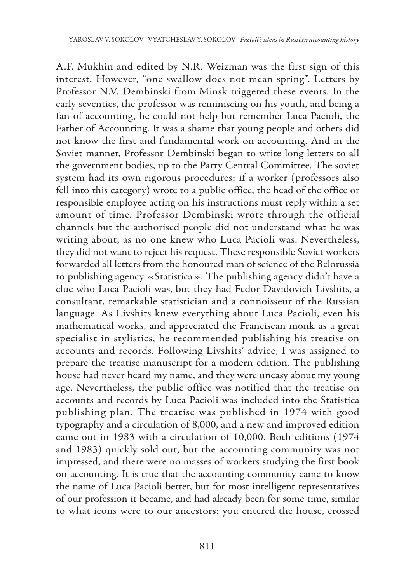A.F. Mukhin and edited by N.R. Weizman was the first sign of this interest. However, "one swallow does not mean spring". Letters by Professor N.V. Dembinski from Minsk triggered these events. In the early seventies, the professor was reminiscing on his youth, and being a fan of accounting, he could not help but remember Luca Pacioli, the Father of Accounting. It was a shame that young people and others did not know the first and fundamental work on accounting. And in the Soviet manner, Professor Dembinski began to write long letters to all the government bodies, up to the Party Central Committee. The soviet system had its own rigorous procedures: if a worker (professors also fell into this category) wrote to a public office, the head of the office or responsible employee acting on his instructions must reply within a set amount of time. Professor Dembinski wrote through the official channels but the authorised people did not understand what he was writing about, as no one knew who Luca Pacioli was. Nevertheless, they did not want to reject his request. These responsible Soviet workers forwarded all letters from the honoured man of science of the Belorussia to publishing agency «Statistica». The publishing agency didn't have a clue who Luca Pacioli was, but they had Fedor Davidovich Livshits, a consultant, remarkable statistician and a connoisseur of the Russian language. As Livshits knew everything about Luca Pacioli, even his mathematical works, and appreciated the Franciscan monk as a great specialist in stylistics, he recommended publishing his treatise on accounts and records. Following Livshits' advice, I was assigned to prepare the treatise manuscript for a modern edition. The publishing house had never heard my name, and they were uneasy about my young age. Nevertheless, the public office was notified that the treatise on accounts and records by Luca Pacioli was included into the Statistica publishing plan. The treatise was published in 1974 with good typography and a circulation of 8,000, and a new and improved edition came out in 1983 with a circulation of 10,000. Both editions (1974 and 1983) quickly sold out, but the accounting community was not impressed, and there were no masses of workers studying the first book on accounting. It is true that the accounting community came to know the name of Luca Pacioli better, but for most intelligent representatives of our profession it became, and had already been for some time, similar to what icons were to our ancestors: you entered the house, crossed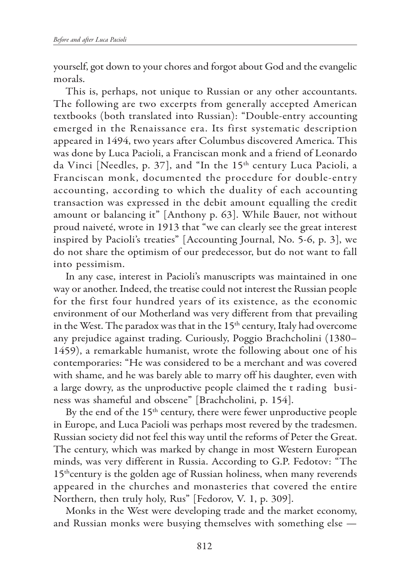yourself, got down to your chores and forgot about God and the evangelic morals.

This is, perhaps, not unique to Russian or any other accountants. The following are two excerpts from generally accepted American textbooks (both translated into Russian): "Double-entry accounting emerged in the Renaissance era. Its first systematic description appeared in 1494, two years after Columbus discovered America. This was done by Luca Pacioli, a Franciscan monk and a friend of Leonardo da Vinci [Needles, p. 37], and "In the 15<sup>th</sup> century Luca Pacioli, a Franciscan monk, documented the procedure for double-entry accounting, according to which the duality of each accounting transaction was expressed in the debit amount equalling the credit amount or balancing it" [Anthony p. 63]. While Bauer, not without proud naiveté, wrote in 1913 that "we can clearly see the great interest inspired by Pacioli's treaties" [Accounting Journal, No. 5-6, p. 3], we do not share the optimism of our predecessor, but do not want to fall into pessimism.

In any case, interest in Pacioli's manuscripts was maintained in one way or another. Indeed, the treatise could not interest the Russian people for the first four hundred years of its existence, as the economic environment of our Motherland was very different from that prevailing in the West. The paradox was that in the  $15<sup>th</sup>$  century, Italy had overcome any prejudice against trading. Curiously, Poggio Brachcholini (1380– 1459), a remarkable humanist, wrote the following about one of his contemporaries: "He was considered to be a merchant and was covered with shame, and he was barely able to marry off his daughter, even with a large dowry, as the unproductive people claimed the t rading business was shameful and obscene" [Brachcholini, p. 154].

By the end of the  $15<sup>th</sup>$  century, there were fewer unproductive people in Europe, and Luca Pacioli was perhaps most revered by the tradesmen. Russian society did not feel this way until the reforms of Peter the Great. The century, which was marked by change in most Western European minds, was very different in Russia. According to G.P. Fedotov: "The 15<sup>th</sup>century is the golden age of Russian holiness, when many reverends appeared in the churches and monasteries that covered the entire Northern, then truly holy, Rus" [Fedorov, V. 1, p. 309].

Monks in the West were developing trade and the market economy, and Russian monks were busying themselves with something else —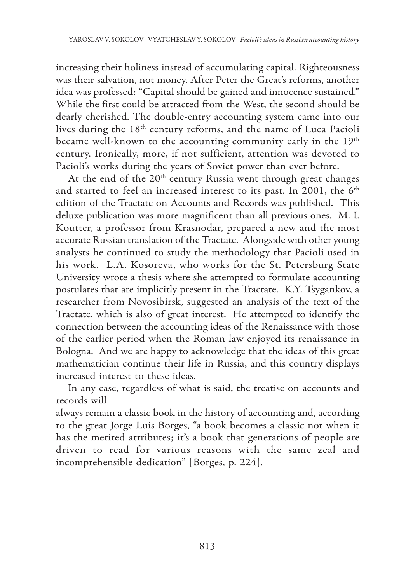increasing their holiness instead of accumulating capital. Righteousness was their salvation, not money. After Peter the Great's reforms, another idea was professed: "Capital should be gained and innocence sustained." While the first could be attracted from the West, the second should be dearly cherished. The double-entry accounting system came into our lives during the 18<sup>th</sup> century reforms, and the name of Luca Pacioli became well-known to the accounting community early in the 19<sup>th</sup> century. Ironically, more, if not sufficient, attention was devoted to Pacioli's works during the years of Soviet power than ever before.

At the end of the 20<sup>th</sup> century Russia went through great changes and started to feel an increased interest to its past. In 2001, the 6<sup>th</sup> edition of the Tractate on Accounts and Records was published. This deluxe publication was more magnificent than all previous ones. M. I. Koutter, a professor from Krasnodar, prepared a new and the most accurate Russian translation of the Tractate. Alongside with other young analysts he continued to study the methodology that Pacioli used in his work. L.A. Kosoreva, who works for the St. Petersburg State University wrote a thesis where she attempted to formulate accounting postulates that are implicitly present in the Tractate. K.Y. Tsygankov, a researcher from Novosibirsk, suggested an analysis of the text of the Tractate, which is also of great interest. He attempted to identify the connection between the accounting ideas of the Renaissance with those of the earlier period when the Roman law enjoyed its renaissance in Bologna. And we are happy to acknowledge that the ideas of this great mathematician continue their life in Russia, and this country displays increased interest to these ideas.

In any case, regardless of what is said, the treatise on accounts and records will

always remain a classic book in the history of accounting and, according to the great Jorge Luis Borges, "a book becomes a classic not when it has the merited attributes; it's a book that generations of people are driven to read for various reasons with the same zeal and incomprehensible dedication" [Borges, p. 224].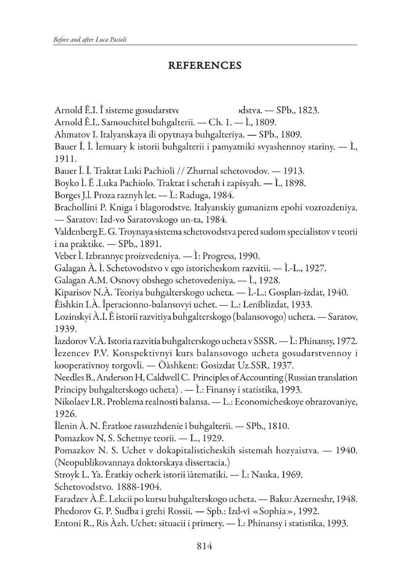## REFERENCES

Arnold Ê.I. Î sisteme gosudarstve dstva. - SPb., 1823. Arnold Ê.I.. Samouchitel buhgalterii. - Ch. 1. - Ì., 1809. Ahmatov I. Italyanskaya ili opytnaya buhgalteriya. — SPb., 1809. Bauer Î. Î. İemuary k istorii buhgalterii i pamyatniki svyashennoy stariny.  $\overline{-}$  I., 1911. Bauer Î. Î. Traktat Luki Pachioli // Zhurnal schetovodov. — 1913. Boyko I. Ê.Luka Pachiolo. Traktat î schetah i zapisyah. — I., 1898. Borges J.l. Proza raznyh let. — I.: Raduga, 1984. Brachollini P. Kniga î blagorodstve. Italyanskiy gumanizm epohi vozrozdeniya. - Saratov: Izd-vo Saratovskogo un-ta, 1984. Valdenberg E. G. Troynaya sistema schetovodstva pered sudom specialistov v teorii i na praktike. — SPb., 1891. Veber I. Izbrannye proizvedeniya. — I: Progress, 1990. Galagan À. Ì. Schetovodstvo v ego istoricheskom razvitii. — Ì.-L., 1927. Galagan A.M. Osnovy obshego schetovedeniya. — I., 1928. Kiparisov N.A. Teoriya buhgalterskogo ucheta. — I.-L.: Gosplan-izdat, 1940. Êîshkin I.À. Îperacionno-balansovyi uchet. — L.: Lenîblizdat, 1933. Lozinskyi A.I. Ê istorii razvitiya buhgalterskogo (balansovogo) ucheta. — Saratov, 1939. lazdorov V.A. Istoria razvitia buhgalterskogo ucheta v SSSR. — I.: Phinansy, 1972. Iezencev P.V. Konspektivnyi kurs balansovogo ucheta gosudarstvennoy i kooperativnoy torgovli. — Oàshkent: Gosizdat Uz.SSR, 1937. Needles B., Anderson H, Caldwell C. Principles of Accounting (Russian translation Principy buhgalterskogo ucheta). — I.: Finansy i statistika, 1993. Nikolaev I.R. Problema realnosti balansa. — L.: Economicheskoye obrazovaniye, 1926. Ilenin A. N. Eratkoe rassuzhdenie î buhgalterii. — SPb., 1810. Pomazkov N, S. Schetnye teorii. - L., 1929. Pomazkov N. S. Uchet v dokapitalisticheskih sistemah hozyaistva. — 1940. (Neopublikovannaya doktorskaya dissertacia.) Stroyk L. Ya. Êratkiy ocherk istorii ìàtematiki. — İ.: Nauka, 1969. Schetovodstvo. 1888-1904. Faradzev A.E. Lekcii po kursu buhgalterskogo ucheta. — Baku: Azerneshr, 1948. Phedorov G. P. Sudba i grehi Rossii. — Spb.: Izd-vî «Sophia», 1992. Entoni R., Ris Azh. Uchet: situacii i primery. — I.: Phinansy i statistika, 1993.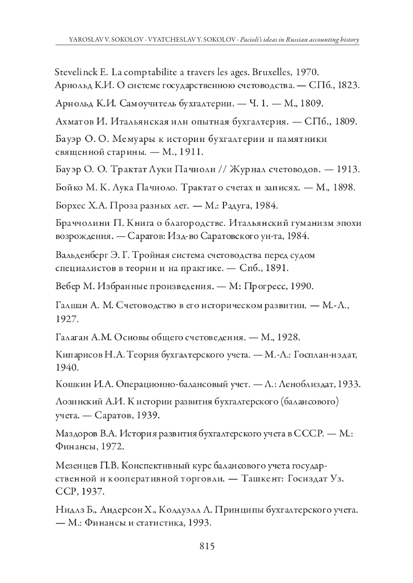Stevelinck E. La comptabilite a travers les ages. Bruxelles, 1970. Арнольд К.И. О системе государственною счетоводства. — СПб., 1823.

Арнольд К.И. Самоучитель бухгалтерии. - Ч. 1. - М., 1809.

Ахматов И. Итальянская или опытная бухгалтерия. — СПб., 1809.

Бауэр О.О. Мемуары к истории бухгалтерии и памятники священной старины. - М., 1911.

Бауэр О. О. Трактат Луки Пачиоли // Журнал счетоводов. - 1913.

Бойко М. К. Лука Пачиоло. Трактат о счетах и записях. — М., 1898.

Борхес Х.А. Проза разных лет. — М.: Радуга, 1984.

Браччолини П. Книга о благородстве. Итальянский гуманизм эпохи возрождения. — Саратов: Изд-во Саратовского ун-та, 1984.

Вальденберг Э. Г. Тройная система счетоводства перед судом специалистов в теории и на практике. - Спб., 1891.

Вебер М. Избранные произведения. - М: Прогресс, 1990.

Галшан А. М. Счетоводство в его историческом развитии. - М.-Л., 1927.

Галаган А.М. Основы общего счетоведения. - М., 1928.

Кипарисов Н.А. Теория бухгалтерского учета. - М.-Л.: Госплан-издат, 1940.

Кошкин И.А. Операционно-балансовый учет. - Л.: Леноблиздат, 1933.

Лозинский А.И. К истории развития бухгалтерского (балансового) учета. — Саратов, 1939.

Маздоров В.А. История развития бухгалтерского учета в СССР. — М.: Финансы, 1972.

Мезенцев П.В. Конспективный курс балан сового учета государственной и кооперативной торговли. — Ташкент: Госиздат Уз. CCP, 1937.

Нидлз Б., Андерсон Х., Колдуэлл Л. Принципы бухгалтерского учета. — М.: Финансы и статистика, 1993.